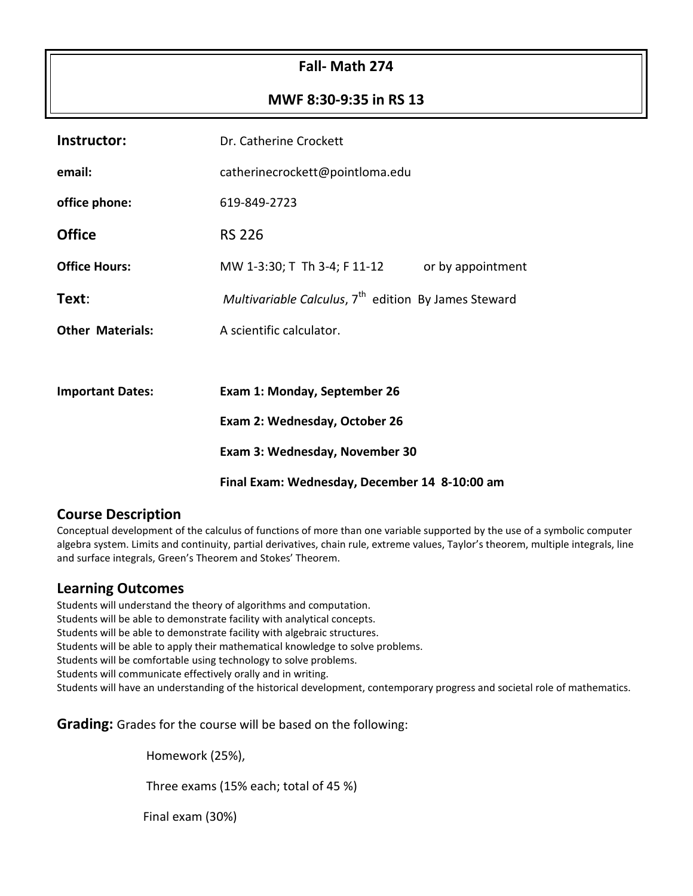### **Fall- Math 274**

#### **MWF 8:30-9:35 in RS 13**

| Instructor:             | Dr. Catherine Crockett                                           |  |  |  |
|-------------------------|------------------------------------------------------------------|--|--|--|
| email:                  | catherinecrockett@pointloma.edu                                  |  |  |  |
| office phone:           | 619-849-2723                                                     |  |  |  |
| <b>Office</b>           | <b>RS 226</b>                                                    |  |  |  |
| <b>Office Hours:</b>    | MW 1-3:30; T Th 3-4; F 11-12<br>or by appointment                |  |  |  |
| Text:                   | Multivariable Calculus, 7 <sup>th</sup> edition By James Steward |  |  |  |
| <b>Other Materials:</b> | A scientific calculator.                                         |  |  |  |
|                         |                                                                  |  |  |  |
| <b>Important Dates:</b> | Exam 1: Monday, September 26                                     |  |  |  |
|                         | Exam 2: Wednesday, October 26                                    |  |  |  |
|                         | Exam 3: Wednesday, November 30                                   |  |  |  |
|                         | Final Exam: Wednesday, December 14 8-10:00 am                    |  |  |  |

#### **Course Description**

Conceptual development of the calculus of functions of more than one variable supported by the use of a symbolic computer algebra system. Limits and continuity, partial derivatives, chain rule, extreme values, Taylor's theorem, multiple integrals, line and surface integrals, Green's Theorem and Stokes' Theorem.

#### **Learning Outcomes**

Students will understand the theory of algorithms and computation.

Students will be able to demonstrate facility with analytical concepts.

Students will be able to demonstrate facility with algebraic structures.

Students will be able to apply their mathematical knowledge to solve problems.

Students will be comfortable using technology to solve problems.

Students will communicate effectively orally and in writing.

Students will have an understanding of the historical development, contemporary progress and societal role of mathematics.

**Grading:** Grades for the course will be based on the following:

Homework (25%),

Three exams (15% each; total of 45 %)

Final exam (30%)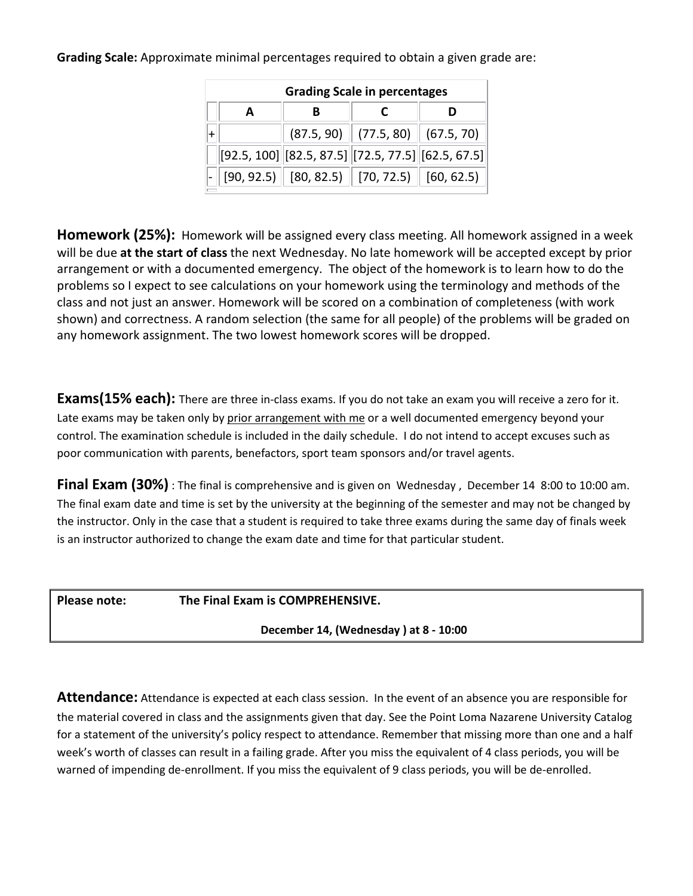| <b>Grading Scale in percentages</b> |  |                                                      |  |            |  |  |
|-------------------------------------|--|------------------------------------------------------|--|------------|--|--|
|                                     |  |                                                      |  |            |  |  |
|                                     |  | $(87.5, 90)$ (77.5, 80)                              |  | (67.5, 70) |  |  |
|                                     |  | $[92.5, 100]$ [82.5, 87.5] [72.5, 77.5] [62.5, 67.5] |  |            |  |  |
|                                     |  | $[90, 92.5]$ $[80, 82.5]$ $[70, 72.5]$ $[60, 62.5]$  |  |            |  |  |

**Grading Scale:** Approximate minimal percentages required to obtain a given grade are:

**Homework (25%):** Homework will be assigned every class meeting. All homework assigned in a week will be due **at the start of class** the next Wednesday. No late homework will be accepted except by prior arrangement or with a documented emergency. The object of the homework is to learn how to do the problems so I expect to see calculations on your homework using the terminology and methods of the class and not just an answer. Homework will be scored on a combination of completeness (with work shown) and correctness. A random selection (the same for all people) of the problems will be graded on any homework assignment. The two lowest homework scores will be dropped.

**Exams(15% each):** There are three in-class exams. If you do not take an exam you will receive a zero for it. Late exams may be taken only by prior arrangement with me or a well documented emergency beyond your control. The examination schedule is included in the daily schedule. I do not intend to accept excuses such as poor communication with parents, benefactors, sport team sponsors and/or travel agents.

**Final Exam (30%)** : The final is comprehensive and is given on Wednesday, December 14 8:00 to 10:00 am. The final exam date and time is set by the university at the beginning of the semester and may not be changed by the instructor. Only in the case that a student is required to take three exams during the same day of finals week is an instructor authorized to change the exam date and time for that particular student.

**Please note: The Final Exam is COMPREHENSIVE.**

**December 14, (Wednesday ) at 8 - 10:00**

**Attendance:** Attendance is expected at each class session. In the event of an absence you are responsible for the material covered in class and the assignments given that day. See the Point Loma Nazarene University Catalog for a statement of the university's policy respect to attendance. Remember that missing more than one and a half week's worth of classes can result in a failing grade. After you miss the equivalent of 4 class periods, you will be warned of impending de-enrollment. If you miss the equivalent of 9 class periods, you will be de-enrolled.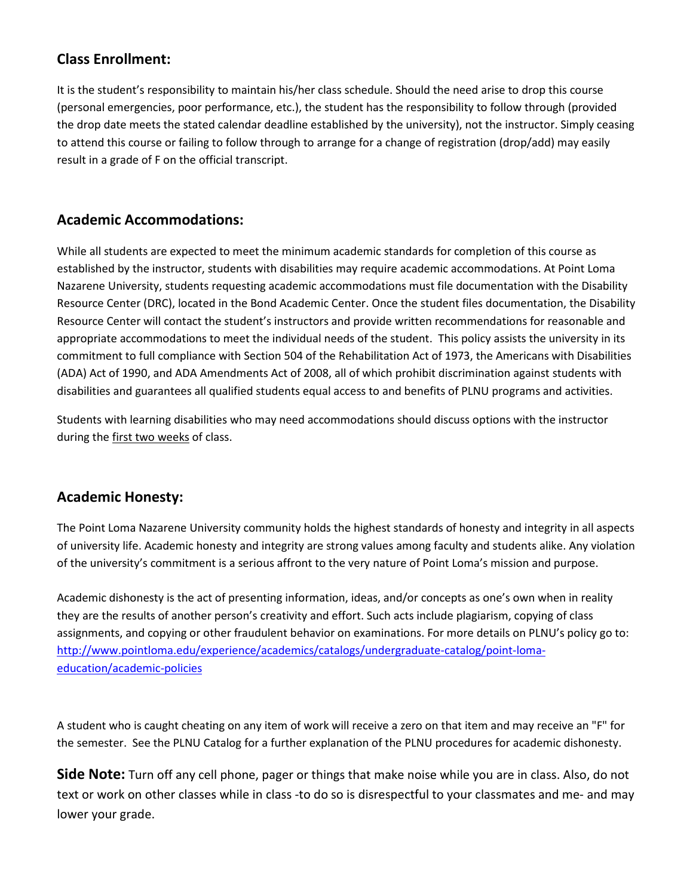## **Class Enrollment:**

It is the student's responsibility to maintain his/her class schedule. Should the need arise to drop this course (personal emergencies, poor performance, etc.), the student has the responsibility to follow through (provided the drop date meets the stated calendar deadline established by the university), not the instructor. Simply ceasing to attend this course or failing to follow through to arrange for a change of registration (drop/add) may easily result in a grade of F on the official transcript.

## **Academic Accommodations:**

While all students are expected to meet the minimum academic standards for completion of this course as established by the instructor, students with disabilities may require academic accommodations. At Point Loma Nazarene University, students requesting academic accommodations must file documentation with the Disability Resource Center (DRC), located in the Bond Academic Center. Once the student files documentation, the Disability Resource Center will contact the student's instructors and provide written recommendations for reasonable and appropriate accommodations to meet the individual needs of the student. This policy assists the university in its commitment to full compliance with Section 504 of the Rehabilitation Act of 1973, the Americans with Disabilities (ADA) Act of 1990, and ADA Amendments Act of 2008, all of which prohibit discrimination against students with disabilities and guarantees all qualified students equal access to and benefits of PLNU programs and activities.

Students with learning disabilities who may need accommodations should discuss options with the instructor during the first two weeks of class.

### **Academic Honesty:**

The Point Loma Nazarene University community holds the highest standards of honesty and integrity in all aspects of university life. Academic honesty and integrity are strong values among faculty and students alike. Any violation of the university's commitment is a serious affront to the very nature of Point Loma's mission and purpose.

Academic dishonesty is the act of presenting information, ideas, and/or concepts as one's own when in reality they are the results of another person's creativity and effort. Such acts include plagiarism, copying of class assignments, and copying or other fraudulent behavior on examinations. For more details on PLNU's policy go to: [http://www.pointloma.edu/experience/academics/catalogs/undergraduate-catalog/point-loma](http://www.pointloma.edu/experience/academics/catalogs/undergraduate-catalog/point-loma-education/academic-policies)[education/academic-policies](http://www.pointloma.edu/experience/academics/catalogs/undergraduate-catalog/point-loma-education/academic-policies)

A student who is caught cheating on any item of work will receive a zero on that item and may receive an "F" for the semester. See the PLNU Catalog for a further explanation of the PLNU procedures for academic dishonesty.

**Side Note:** Turn off any cell phone, pager or things that make noise while you are in class. Also, do not text or work on other classes while in class -to do so is disrespectful to your classmates and me- and may lower your grade.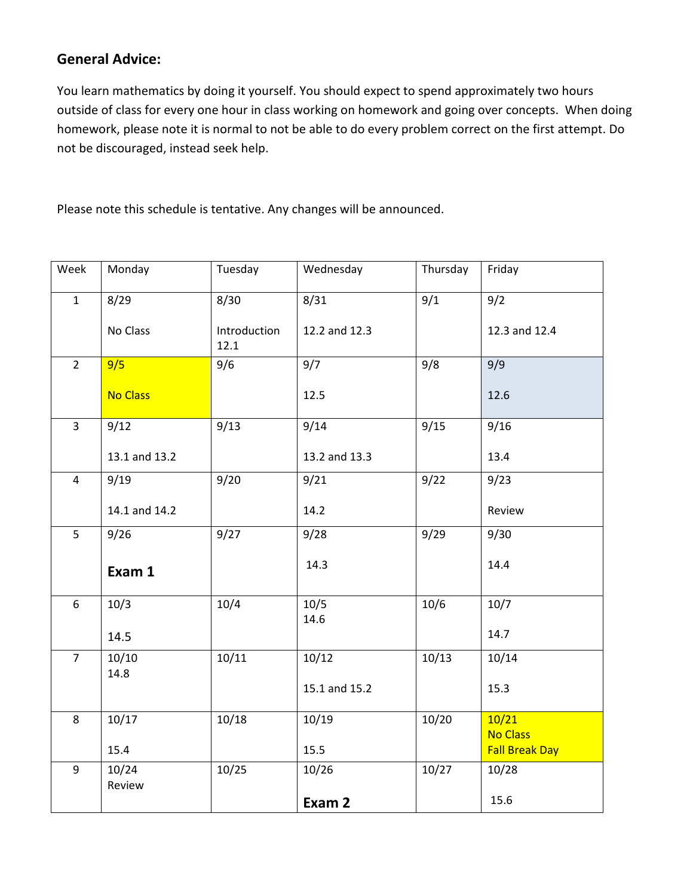# **General Advice:**

You learn mathematics by doing it yourself. You should expect to spend approximately two hours outside of class for every one hour in class working on homework and going over concepts. When doing homework, please note it is normal to not be able to do every problem correct on the first attempt. Do not be discouraged, instead seek help.

Please note this schedule is tentative. Any changes will be announced.

| Week           | Monday          | Tuesday              | Wednesday     | Thursday | Friday                   |
|----------------|-----------------|----------------------|---------------|----------|--------------------------|
| $\mathbf{1}$   | 8/29            | 8/30                 | 8/31          | 9/1      | 9/2                      |
|                | No Class        | Introduction<br>12.1 | 12.2 and 12.3 |          | 12.3 and 12.4            |
| $2^{\circ}$    | 9/5             | 9/6                  | 9/7           | 9/8      | 9/9                      |
|                | <b>No Class</b> |                      | 12.5          |          | 12.6                     |
| $\overline{3}$ | 9/12            | 9/13                 | 9/14          | 9/15     | 9/16                     |
|                | 13.1 and 13.2   |                      | 13.2 and 13.3 |          | 13.4                     |
| $\overline{4}$ | 9/19            | 9/20                 | 9/21          | 9/22     | 9/23                     |
|                | 14.1 and 14.2   |                      | 14.2          |          | Review                   |
| 5              | 9/26            | 9/27                 | 9/28          | 9/29     | 9/30                     |
|                | Exam 1          |                      | 14.3          |          | 14.4                     |
| 6              | 10/3            | 10/4                 | 10/5          | 10/6     | 10/7                     |
|                | 14.5            |                      | 14.6          |          | 14.7                     |
| $\overline{7}$ | 10/10<br>14.8   | 10/11                | 10/12         | 10/13    | 10/14                    |
|                |                 |                      | 15.1 and 15.2 |          | 15.3                     |
| 8              | 10/17           | 10/18                | 10/19         | 10/20    | 10/21<br><b>No Class</b> |
|                | 15.4            |                      | 15.5          |          | <b>Fall Break Day</b>    |
| 9              | 10/24<br>Review | 10/25                | 10/26         | 10/27    | 10/28                    |
|                |                 |                      | Exam 2        |          | 15.6                     |